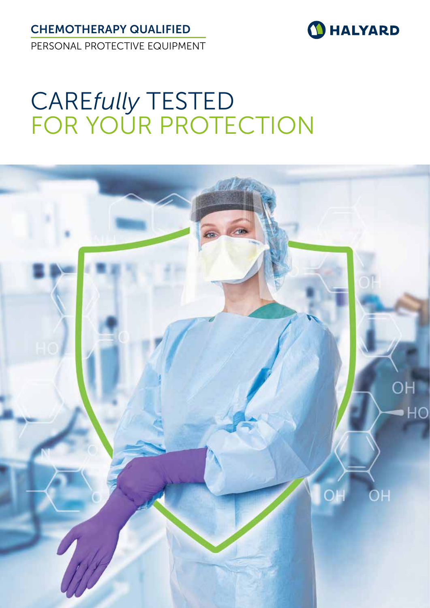CHEMOTHERAPY QUALIFIED PERSONAL PROTECTIVE EQUIPMENT



# CARE*fully* TESTED FOR YOUR PROTECTION

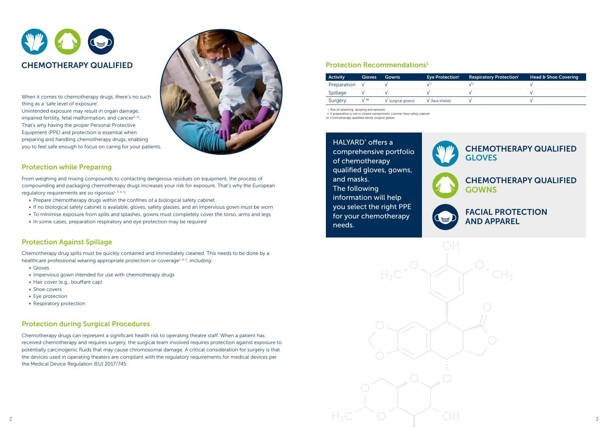

When it comes to chemotherapy drugs, there's no such thing as a 'safe level of exposure'.

From weighing and mixing compounds to contacting dangerous residues on equipment, the process of compounding and packaging chemotherapy drugs increases your risk for exposure. That's why the European regulatory requirements are so rigorous<sup>1, 3, 4, 5</sup>:

Unintended exposure may result in organ damage, impaired fertility, fetal malformation, and cancer<sup>2, 11</sup>. That's why having the proper Personal Protective Equipment (PPE) and protection is essential when preparing and handling chemotherapy drugs, enabling you to feel safe enough to focus on caring for your patients.

#### Protection while Preparing

Chemotherapy drug spills must be quickly contained and immediately cleaned. This needs to be done by a healthcare professional wearing appropriate protection or coverage<sup>1, 4, 5</sup>, including:

- Prepare chemotherapy drugs within the confines of a biological safety cabinet
- If no biological safety cabinet is available, gloves, safety glasses, and an impervious gown must be worn
- To minimise exposure from spills and splashes, gowns must completely cover the torso, arms and legs
- In some cases, preparation respiratory and eye protection may be required

#### Protection Against Spillage

# HALYARD<sup>\*</sup> offers a comprehensive portfolio of chemotherapy qualified gloves, gowns, and masks. The following information will help you select the right PPE for your chemotherapy needs.

# CHEMOTHERAPY QUALIFIED **GLOVES**



- Gloves
- Impervious gown intended for use with chemotherapy drugs
- Hair cover (e.g., bouffant cap)
- Shoe covers
- Eye protection
- Respiratory protection

## Protection during Surgical Procedures

Chemotherapy drugs can represent a significant health risk to operating theatre staff. When a patient has received chemotherapy and requires surgery, the surgical team involved requires protection against exposure to potentially carcinogenic fluids that may cause chromosomal damage. A critical consideration for surgery is that the devices used in operating theaters are compliant with the regulatory requirements for medical devices per the Medical Device Regulation (EU) 2017/745.



| <b>Activity</b> | <b>Gloves</b> | <b>Gowns</b>     | Eye Protection <sup>i</sup> | <b>Respiratory Protection</b> | Head & Shoe Covering |
|-----------------|---------------|------------------|-----------------------------|-------------------------------|----------------------|
| Preparation     |               |                  |                             |                               |                      |
| Spillage        |               |                  |                             |                               |                      |
| ourgerv         | ШI            | (surgical gowns) | (face shields)              |                               |                      |

i Risk of splashing, spraying and aerosols

ii If preparation is not in closed containment: Laminar flow safety cabinet

iiii Chemotherapy qualified sterile surgical gloves

# CHEMOTHERAPY QUALIFIED GOWNS

# FACIAL PROTECTION AND APPAREL

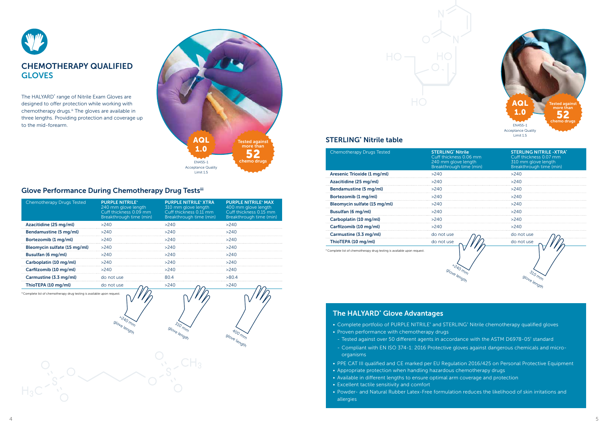The HALYARD<sup>\*</sup> range of Nitrile Exam Gloves are designed to offer protection while working with chemotherapy drugs.<sup>iii</sup> The gloves are available in three lengths. Providing protection and coverage up to the mid-forearm.





### Glove Performance During Chemotherapy Drug Testsiii

| <b>Chemotherapy Drugs Tested</b>                                       | <b>PURPLE NITRILE*</b><br>240 mm glove length<br>Cuff thickness 0.09 mm<br>Breakthrough time (min) | <b>PURPLE NITRILE* XTRA</b><br>310 mm glove length<br>Cuff thickness 0.11 mm<br>Breakthrough time (min) | <b>PURPLE NITRILE* MAX</b><br>400 mm glove length<br>Cuff thickness 0.15 mm<br>Breakthrough time (min) |
|------------------------------------------------------------------------|----------------------------------------------------------------------------------------------------|---------------------------------------------------------------------------------------------------------|--------------------------------------------------------------------------------------------------------|
| Azacitidine (25 mg/ml)                                                 | >240                                                                                               | >240                                                                                                    | >240                                                                                                   |
| <b>Bendamustine (5 mg/ml)</b>                                          | >240                                                                                               | >240                                                                                                    | >240                                                                                                   |
| Bortezomib (1 mg/ml)                                                   | >240                                                                                               | >240                                                                                                    | >240                                                                                                   |
| Bleomycin sulfate (15 mg/ml)                                           | >240                                                                                               | >240                                                                                                    | >240                                                                                                   |
| <b>Busulfan (6 mg/ml)</b>                                              | >240                                                                                               | >240                                                                                                    | >240                                                                                                   |
| Carboplatin (10 mg/ml)                                                 | >240                                                                                               | >240                                                                                                    | >240                                                                                                   |
| Carfilzomib (10 mg/ml)                                                 | >240                                                                                               | >240                                                                                                    | >240                                                                                                   |
| Carmustine (3.3 mg/ml)                                                 | do not use                                                                                         | 80.4                                                                                                    | >80.4                                                                                                  |
| ThioTEPA (10 mg/ml)                                                    | do not use                                                                                         | >240                                                                                                    | >240                                                                                                   |
| "Complete list of chemotherapy drug testing is available upon request. | <b>AUWORLE</b><br>9/ <sub>OVe length</sub>                                                         | 310 mm<br>9/ <sub>OVe length</sub>                                                                      | $400\,$ mm<br>9/0 <sub>Ve length</sub>                                                                 |
|                                                                        |                                                                                                    |                                                                                                         |                                                                                                        |



#### STERLING\* Nitrile table

- Complete portfolio of PURPLE NITRILE\* and STERLING\* Nitrile chemotherapy qualified gloves
- Proven performance with chemotherapy drugs
- Compliant with EN ISO 374-1: 2016 Protective gloves against dangerous chemicals and micro-
- organisms
- Appropriate protection when handling hazardous chemotherapy drugs
- Available in different lengths to ensure optimal arm coverage and protection
- Excellent tactile sensitivity and comfort
- Powder- and Natural Rubber Latex-Free formulation reduces the likelihood of skin irritations and allergies

| <b>Chemotherapy Drugs Tested</b>                                                              | <b>STERLING* Nitrile</b><br>Cuff thickness 0.06 mm<br>240 mm glove length<br>Breakthrough time (min) | <b>STERLING NITRILE - XTRA*</b><br>Cuff thickness 0.07 mm<br>310 mm glove length<br>Breakthrough time (min) |
|-----------------------------------------------------------------------------------------------|------------------------------------------------------------------------------------------------------|-------------------------------------------------------------------------------------------------------------|
| Aresenic Trioxide (1 mg/ml)                                                                   | >240                                                                                                 | >240                                                                                                        |
| Azacitidine (25 mg/ml)                                                                        | >240                                                                                                 | >240                                                                                                        |
| <b>Bendamustine (5 mg/ml)</b>                                                                 | >240                                                                                                 | >240                                                                                                        |
| Bortezomib (1 mg/ml)                                                                          | >240                                                                                                 | >240                                                                                                        |
| Bleomycin sulfate (15 mg/ml)                                                                  | >240                                                                                                 | >240                                                                                                        |
| <b>Busulfan (6 mg/ml)</b>                                                                     | >240                                                                                                 | >240                                                                                                        |
| Carboplatin (10 mg/ml)                                                                        | >240                                                                                                 | >240                                                                                                        |
| Carfilzomib (10 mg/ml)                                                                        | >240                                                                                                 | >240                                                                                                        |
| Carmustine (3.3 mg/ml)                                                                        | do not use                                                                                           | do not use                                                                                                  |
| ThioTEPA (10 mg/ml)<br>"Complete list of chemotherapy drug testing is available upon request. | do not use<br>glove length                                                                           | do not use<br><sup>310</sup> nm<br><sup>910ve length</sup>                                                  |



- Tested against over 50 different agents in accordance with the ASTM D6978-05<sup>†</sup> standard

## The HALYARD\* Glove Advantages

• PPE CAT III qualified and CE marked per EU Regulation 2016/425 on Personal Protective Equipment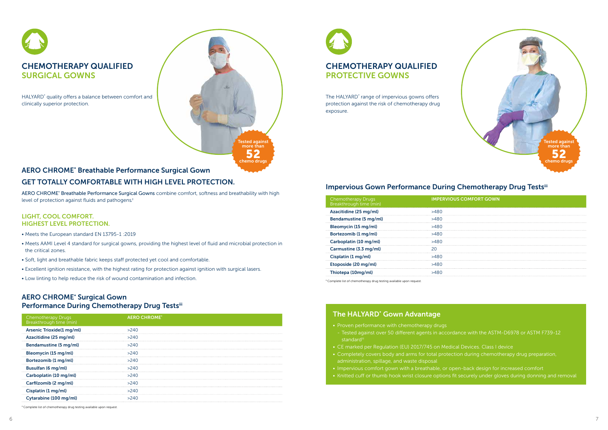

The HALYARD<sup>\*</sup> range of impervious gowns offers protection against the risk of chemotherapy drug exposure.

### Impervious Gown Performance During Chemotherapy Drug Testsiii



#### **COMFORT GOWN**



# AERO CHROME\* Breathable Performance Surgical Gown GET TOTALLY COMFORTABLE WITH HIGH LEVEL PROTECTION.

AERO CHROME\* Breathable Performance Surgical Gowns combine comfort, softness and breathability with high level of protection against fluids and pathogens.‡

### AERO CHROME\* Surgical Gown Performance During Chemotherapy Drug Testsiii

#### LIGHT, COOL COMFORT. HIGHEST LEVEL PROTECTION.

- Meets the European standard EN 13795-1 :2019
- Meets AAMI Level 4 standard for surgical gowns, providing the highest level of fluid and microbial protection in the critical zones.
- Soft, light and breathable fabric keeps staff protected yet cool and comfortable.
- Excellent ignition resistance, with the highest rating for protection against ignition with surgical lasers.
- Low linting to help reduce the risk of wound contamination and infection.

| <b>Chemotherapy Drugs</b><br>Breakthrough time (min) | <b>AERO CHROME</b> |
|------------------------------------------------------|--------------------|
| <b>Arsenic Trioxide(1 mg/ml)</b>                     | >240               |
| Azacitidine (25 mg/ml)                               | >240               |
| <b>Bendamustine (5 mg/ml)</b>                        | >240               |
| Bleomycin (15 mg/ml)                                 | >240               |
| Bortezomib (1 mg/ml)                                 | >240               |
| Busulfan (6 mg/ml)                                   | >240               |
| Carboplatin (10 mg/ml)                               | >240               |
| Carfilzomib (2 mg/ml)                                | >240               |
| Cisplatin (1 mg/ml)                                  | >240               |
| Cytarabine (100 mg/ml)                               | >240               |

iii Complete list of chemotherapy drug testing available upon request.

| <b>Chemotherapy Drugs</b><br>Breakthrough time (min) | <b>IMPERVIOUS</b> |
|------------------------------------------------------|-------------------|
| Azacitidine (25 mg/ml)                               | >480              |
| <b>Bendamustine (5 mg/ml)</b>                        | >480              |
| Bleomycin (15 mg/ml)                                 | >480              |
| Bortezomib (1 mg/ml)                                 | >480              |
| Carboplatin (10 mg/ml)                               | >480              |
| Carmustine (3.3 mg/ml)                               | 20                |
| Cisplatin (1 mg/ml)                                  | >480              |
| Etoposide (20 mg/ml)                                 | >480              |
| Thiotepa (10mg/ml)                                   | >480              |
|                                                      |                   |

iii Complete list of chemotherapy drug testing available upon request.

#### The HALYARD\* Gown Advantage

- Proven performance with chemotherapy drugs
- Tested against over 50 different agents in accordance with the ASTM-D6978 or ASTM F739-12 standard<sup>#</sup>
- CE marked per Regulation (EU) 2017/745 on Medical Devices. Class I device
- Completely covers body and arms for total protection during chemotherapy drug preparation, administration, spillage, and waste disposal
- Impervious comfort gown with a breathable, or open-back design for increased comfort
- Knitted cuff or thumb hook wrist closure options fit securely under gloves during donning and removal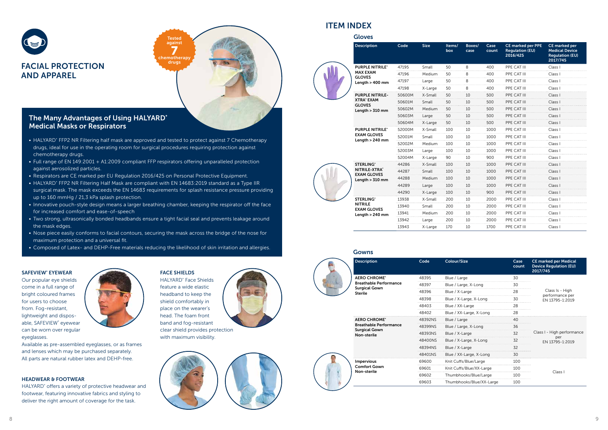

#### SAFEVIEW\* EYEWEAR

Our popular eye shields come in a full range of bright coloured frames for users to choose from. Fog-resistant, lightweight and disposable, SAFEVIEW\* eyewear can be worn over regular eyeglasses.



HALYARD<sup>\*</sup> offers a variety of protective headwear and footwear, featuring innovative fabrics and styling to deliver the right amount of coverage for the task.

Available as pre-assembled eyeglasses, or as frames and lenses which may be purchased separately. All parts are natural rubber latex and DEHP-free.

#### HEADWEAR & FOOTWEAR

#### FACE SHIELDS

HALYARD\* Face Shields feature a wide elastic headband to keep the shield comfortably in place on the wearer's head. The foam front band and fog-resistant clear shield provides protection with maximum visibility.





# **ITEM INDEX**

#### The Many Advantages of Using HALYARD\* Medical Masks or Respirators

**Tested** against 7 chemotherapy drugs

- HALYARD\* FFP2 NR Filtering half mask are approved and tested to protect against 7 Chemotherapy drugs, ideal for use in the operating room for surgical procedures requiring protection against chemotherapy drugs.
- Full range of EN 149:2001 + A1:2009 compliant FFP respirators offering unparalleled protection against aerosolized particles.
- Respirators are CE marked per EU Regulation 2016/425 on Personal Protective Equipment.
- HALYARD\* FFP2 NR Filtering Half Mask are compliant with EN 14683:2019 standard as a Type IIR surgical mask. The mask exceeds the EN 14683 requirements for splash resistance pressure providing up to 160 mmHg / 21,3 kPa splash protection.
- Innovative pouch-style design means a larger breathing chamber, keeping the respirator off the face for increased comfort and ease-of-speech
- Two strong, ultrasonically bonded headbands ensure a tight facial seal and prevents leakage around the mask edges.
- Nose piece easily conforms to facial contours, securing the mask across the bridge of the nose for maximum protection and a universal fit.
- Composed of Latex- and DEHP-Free materials reducing the likelihood of skin irritation and allergies.

| <b>Gloves</b>                           |        |             |               |                |               |                                                                |                                                                                     |
|-----------------------------------------|--------|-------------|---------------|----------------|---------------|----------------------------------------------------------------|-------------------------------------------------------------------------------------|
| <b>Description</b>                      | Code   | <b>Size</b> | Items/<br>box | Boxes/<br>case | Case<br>count | <b>CE marked per PPE</b><br><b>Regulation (EU)</b><br>2016/425 | <b>CE</b> marked per<br><b>Medical Device</b><br><b>Regulation (EU)</b><br>2017/745 |
| <b>PURPLE NITRILE*</b>                  | 47195  | Small       | 50            | 8              | 400           | PPE CAT III                                                    | Class I                                                                             |
| <b>MAX EXAM</b><br><b>GLOVES</b>        | 47196  | Medium      | 50            | 8              | 400           | PPE CAT III                                                    | Class I                                                                             |
| Length $> 400$ mm                       | 47197  | Large       | 50            | 8              | 400           | PPE CAT III                                                    | Class I                                                                             |
|                                         | 47198  | X-Large     | 50            | 8              | 400           | PPE CAT III                                                    | Class I                                                                             |
| <b>PURPLE NITRILE-</b>                  | 50600M | X-Small     | 50            | 10             | 500           | PPE CAT III                                                    | Class I                                                                             |
| <b>XTRA* EXAM</b><br><b>GLOVES</b>      | 50601M | Small       | 50            | 10             | 500           | PPE CAT III                                                    | Class I                                                                             |
| Length $> 310$ mm                       | 50602M | Medium      | 50            | 10             | 500           | PPE CAT III                                                    | Class I                                                                             |
|                                         | 50603M | Large       | 50            | 10             | 500           | PPE CAT III                                                    | Class I                                                                             |
|                                         | 50604M | X-Large     | 50            | 10             | 500           | PPE CAT III                                                    | Class I                                                                             |
| <b>PURPLE NITRILE*</b>                  | 52000M | X-Small     | 100           | 10             | 1000          | PPE CAT III                                                    | Class I                                                                             |
| <b>EXAM GLOVES</b><br>Length $> 240$ mm | 52001M | Small       | 100           | 10             | 1000          | PPE CAT III                                                    | Class I                                                                             |
|                                         | 52002M | Medium      | 100           | 10             | 1000          | PPE CAT III                                                    | Class I                                                                             |
|                                         | 52003M | Large       | 100           | 10             | 1000          | PPE CAT III                                                    | Class I                                                                             |
|                                         | 52004M | X-Large     | 90            | 10             | 900           | PPE CAT III                                                    | Class I                                                                             |
| <b>STERLING*</b>                        | 44286  | X-Small     | 100           | 10             | 1000          | PPE CAT III                                                    | Class I                                                                             |
| NITRILE-XTRA*<br><b>EXAM GLOVES</b>     | 44287  | Small       | 100           | 10             | 1000          | PPE CAT III                                                    | Class I                                                                             |
| Length $> 310$ mm                       | 44288  | Medium      | 100           | 10             | 1000          | PPE CAT III                                                    | Class I                                                                             |
|                                         | 44289  | Large       | 100           | 10             | 1000          | PPE CAT III                                                    | Class I                                                                             |
|                                         | 44290  | X-Large     | 100           | 10             | 900           | PPE CAT III                                                    | Class I                                                                             |
| <b>STERLING*</b>                        | 13938  | X-Small     | 200           | 10             | 2000          | PPE CAT III                                                    | Class I                                                                             |
| <b>NITRILE</b><br><b>EXAM GLOVES</b>    | 13940  | Small       | 200           | 10             | 2000          | PPE CAT III                                                    | Class I                                                                             |
| Length $> 240$ mm                       | 13941  | Medium      | 200           | 10             | 2000          | PPE CAT III                                                    | Class I                                                                             |
|                                         | 13942  | Large       | 200           | 10             | 2000          | PPE CAT III                                                    | Class                                                                               |
|                                         | 13943  | X-Large     | 170           | 10             | 1700          | PPE CAT III                                                    | Class I                                                                             |

| <b>Description</b>                                    | Code    | Colour/Size              | <b>Case</b><br>count | <b>CE marked per Medical</b><br><b>Device Regulation (EU)</b><br>2017/745 |  |  |  |
|-------------------------------------------------------|---------|--------------------------|----------------------|---------------------------------------------------------------------------|--|--|--|
| <b>AERO CHROME'</b>                                   | 48395   | Blue / Large             | 30                   |                                                                           |  |  |  |
| <b>Breathable Performance</b><br><b>Surgical Gown</b> | 48397   | Blue / Large, X-Long     | 30                   |                                                                           |  |  |  |
| <b>Sterile</b>                                        | 48396   | Blue / X-Large           | 28                   | Class Is - High                                                           |  |  |  |
|                                                       | 48398   | Blue / X-Large, X-Long   | 30                   | performance per<br>EN 13795-1:2019                                        |  |  |  |
|                                                       | 48403   | Blue / XX-Large          | 28                   |                                                                           |  |  |  |
|                                                       | 48402   | Blue / XX-Large, X-Long  | 28                   |                                                                           |  |  |  |
| <b>AERO CHROME*</b>                                   | 48392NS | Blue / Large             | 40                   |                                                                           |  |  |  |
| <b>Breathable Performance</b><br><b>Surgical Gown</b> | 48399NS | Blue / Large, X-Long     | 36                   |                                                                           |  |  |  |
| Non-sterile                                           | 48393NS | Blue / X-Large           | 32                   | Class I - High performance                                                |  |  |  |
|                                                       | 48400NS | Blue / X-Large, X-Long   | 32                   | per<br>EN 13795-1:2019                                                    |  |  |  |
|                                                       | 48394NS | Blue / X-Large           | 32<br>.              |                                                                           |  |  |  |
|                                                       | 48401NS | Blue / XX-Large, X-Long  | 30                   |                                                                           |  |  |  |
| <b>Impervious</b>                                     | 69600   | Knit Cuffs/Blue/Large    | 100                  |                                                                           |  |  |  |
| <b>Comfort Gown</b><br>Non-sterile                    | 69601   | Knit Cuffs/Blue/XX-Large | 100                  | Class I                                                                   |  |  |  |
|                                                       | 69602   | Thumbhooks/Blue/Large    | 100                  |                                                                           |  |  |  |
|                                                       | 69603   | Thumbhooks/Blue/XX-Large |                      |                                                                           |  |  |  |

#### Gowns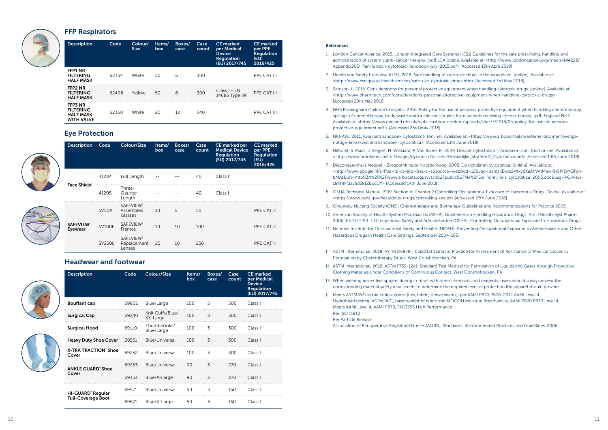#### References

- 1. London Cancer Alliance, 2015. London Integrated Care Systems (ICSs) Guidelines for the safe prescribing, handling and administration of systemic anti-cancer therapy. [pdf] LCA online. Available at: <http://www.londoncancer.org/media/144228/ Appendix20D\_Pan-london-cytotoxic-handbook-july-2015.pdf> [Accessed 13th April 2018]
- 2. Health and Safety Executive (HSE), 2018. Safe handling of cytotoxic drugs in the workplace. [online]. Available at: <http://www.hse.gov.uk/healthservices/safe-use-cytotoxic-drugs.htm> [Accessed 3rd May 2018]
- 3. Samson, I., 2015. Considerations for personal protective equipment when handling cytotoxic drugs. [online]. Available at: <http://www.pharmtech.com/considerations-personal-protective-equipment-when-handling-cytotoxic-drugs> [Accessed 20th May 2018]
- 4. NHS Birmingham Children's hospital, 2016. Policy for the use of personal protective equipment when handling chemotherapy, spillage of chemotherapy, body waste and/or clinical samples from patients receiving chemotherapy. [pdf] England NHS. Available at: <https://www.england.nhs.uk/mids-east/wp-content/uploads/sites/7/2018/04/policy-for-use-of-personalprotective-equipment.pdf > [Accessed 23rd May 2018]
- 5. NKI-AVL, 2011. Kwaliteitshandboek Cytostatica. [online]. Available at: <https://www.arboportaal.nl/externe-bronnen/overigenuttige-links/kwaliteitshandboek-cytostatica>. [Accessed 13th June 2018]
- 6. Hilhorst, S. Maas, J. Siegert, H. Wielaard, P. Van Balen, P., 2009. Dossier Cytostatica Arbokennisnet. [pdf] online. Available at: < http://www.arbokennisnet.nl/images/dynamic/Dossiers/Gevaarlijke\_stoffen/D\_Cytostatica.pdf> [Accessed 14th June 2018]
- 7. Diaconessenhuis Meppel Zorgcombinatie Noorderboog, 2005. De richtlijnen cytostatica. [online]. Available at : <http://www.google.nl/url?sa=t&rct=j&q=&esrc=s&source=web&cd=12&ved=0ahUKEwjx24Xxy6XaAhWnMewKHSKfDjYQFghbMAs&url=http%3A%2F%2Fwww.arbocatalogusvvt.nl%2Fpublic%2Ffile%2FDe\_richtlijnen\_cytostatica\_2005.doc&usg=AOvVaw-1IrhhtFf3zv6d5k1ZBucUY> [Accessed 14th June 2018]
- 8. OSHA Technical Manual, 1999. Section VI Chapter 2 Controlling Occupational Exposure to Hazardous Drugs. Online. Available at: <https://www.osha.gov/hazardous-drugs/controlling-occex> [Accessed 27th June 2018]
- 9. Oncology Nursing Society (ONS): Chemotherapy and Biotherapy Guidelines and Recommendations for Practice 2005.
- 10. American Society of Health-System Pharmacists (ASHP): Guidelines on Handling Hazardous Drugs. Am J.Health-Syst Pharm 2006; 63:1172-93. 3 Occupational Safety and Administration (OSHA): Controlling Occupational Exposure to Hazardous Drugs.
- 11. National Institute for Occupational Safety and Health (NIOSH): Preventing Occupational Exposure to Antineoplastic and Other Hazardous Drugs in Health Care Settings, September 2004-165.
- † ASTM International, 2018. ASTM D6978 05(2013) Standard Practice for Assessment of Resistance of Medical Gloves to Permeation by Chemotherapy Drugs. West Conshohocken, PA.
- †† ASTM International, 2018. ASTM F739-12e1, Standard Test Method for Permeation of Liquids and Gases through Protective Clothing Materials under Conditions of Continuous Contact. West Conshohocken, PA.
- ††† When wearing protective apparel during contact with other chemicals and reagents, users should always review the corresponding material safety data sheets to determine the required level of protection the apparel should provide.
- ‡ Meets ASTM1671 in the critical zones (ties, fabric, sleeve seams), per AAMI PB70 PB70: 2012 AAMI Level 4 Hydrohead testing, ASTM 1671, basis weight of fabric and MOCON Moisture Breathability, AAMI PB70 PB70 Level 4 Meets AAMI Level 4, AAMI PB70, EN13795 High Performance Per ISO 11810 Per Particle Release
	- Association of Perioperative Registered Nurses (AORN), Standards, Recommended Practices and Guidelines, 2006

#### FFP Respirators

| <b>Description</b>                                                          | Code  | Colour/<br><b>Size</b> | Items/<br>box | Boxes/<br>case | Case<br>count | <b>CE</b> marked<br>per Medical<br><b>Device</b><br><b>Regulation</b><br>(EU) 2017/745 | <b>CE</b> marked<br>per PPE<br><b>Regulation</b><br>(EU)<br>2016/425 |
|-----------------------------------------------------------------------------|-------|------------------------|---------------|----------------|---------------|----------------------------------------------------------------------------------------|----------------------------------------------------------------------|
| <b>FFP1 NR</b><br><b>FILTERING</b><br><b>HALF MASK</b>                      | 62354 | White                  | 50            | 6              | 300           |                                                                                        | PPE CAT III                                                          |
| FFP <sub>2</sub> NR<br><b>FILTERING</b><br><b>HALF MASK</b>                 | 62408 | Yellow                 | 50            | 6              | 300           | Class I - EN<br>14683 Type IIR                                                         | PPE CAT III                                                          |
| <b>FFP3 NR</b><br><b>FILTERING</b><br><b>HALF MASK</b><br><b>WITH VALVE</b> | 62360 | White                  | 20            | 12             | 240           |                                                                                        | PPE CAT III                                                          |

#### Headwear and footwear





| <b>Description</b>                   | Code  | Colour/Size                  | Items/<br>box | Boxes/<br>case | Case<br>count | <b>CE</b> marked<br>per Medical<br><b>Device</b><br><b>Regulation</b><br>(EU) 2017/745 |
|--------------------------------------|-------|------------------------------|---------------|----------------|---------------|----------------------------------------------------------------------------------------|
| <b>Bouffant cap</b>                  | 69801 | Blue/Large                   | 100           | 5              | 500           | Class I                                                                                |
| <b>Surgical Cap</b>                  | 69240 | Knit Cuffs/Blue/<br>XX-Large | 100           | 3              | 300           | Class I                                                                                |
| <b>Surgical Hood</b>                 | 69110 | Thumbhooks/<br>Blue/Large    | 100           | 3              | 300           | Class I                                                                                |
| <b>Heavy Duty Shoe Cover</b>         | 69551 | Blue/Universal               | 100           | 3              | 300           | Class I                                                                                |
| <b>X-TRA TRACTION' Shoe</b><br>Cover | 69252 | Blue/Universal               | 100           | 3              | 300           | Class I                                                                                |
| <b>ANKLE GUARD' Shoe</b>             | 69253 | Blue/Universal               | 90            | 3              | 270           | Class I                                                                                |
| Cover                                | 69353 | Blue/X-Large                 | 90            | 3              | 270           | Class I                                                                                |
| <b>HI-GUARD' Regular</b>             | 69571 | Blue/Universal               | 50            | 3              | 150           | Class I                                                                                |
| <b>Full-Coverage Boot</b>            | 69671 | Blue/X-Large                 | 50            | 3              | 150           | Class I                                                                                |

### Eye Protection



| <b>Description</b>   | Code          | Colour/Size                        | Items/<br><b>box</b> | Boxes/<br>case | Case<br>count | <b>CE</b> marked per<br><b>Medical Device</b><br><b>Regulation</b><br>(EU) 2017/745 | <b>CE</b> marked<br>per PPE<br>Regulation<br>(EU)<br>2016/425 |
|----------------------|---------------|------------------------------------|----------------------|----------------|---------------|-------------------------------------------------------------------------------------|---------------------------------------------------------------|
|                      | 41204         | Full Length                        |                      |                | 40            | Class I                                                                             |                                                               |
| <b>Face Shield</b>   | 41205         | Three-<br>Qaurter<br>Length        |                      |                | 40            | Class I                                                                             |                                                               |
|                      | SV50A         | SAFEVIEW*<br>Assembled<br>Glasses  | 10                   | 5              | 50            |                                                                                     | PPE CAT II                                                    |
| SAFEVIEW*<br>Eyewear | <b>SV100F</b> | SAFEVIEW*<br>Frames                | 10                   | 10             | 100           |                                                                                     | PPE CAT II                                                    |
|                      | SV250L        | SAFEVIEW*<br>Replacement<br>Lenses | 25                   | 10             | 250           |                                                                                     | PPE CAT II                                                    |